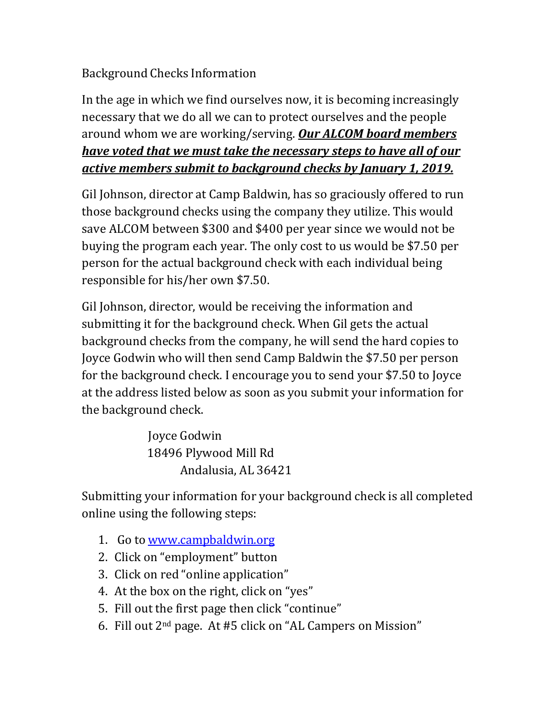## Background Checks Information

In the age in which we find ourselves now, it is becoming increasingly necessary that we do all we can to protect ourselves and the people around whom we are working/serving. *Our ALCOM board members have voted that we must take the necessary steps to have all of our active members submit to background checks by January 1, 2019.*

Gil Johnson, director at Camp Baldwin, has so graciously offered to run those background checks using the company they utilize. This would save ALCOM between \$300 and \$400 per year since we would not be buying the program each year. The only cost to us would be \$7.50 per person for the actual background check with each individual being responsible for his/her own \$7.50.

Gil Johnson, director, would be receiving the information and submitting it for the background check. When Gil gets the actual background checks from the company, he will send the hard copies to Joyce Godwin who will then send Camp Baldwin the \$7.50 per person for the background check. I encourage you to send your \$7.50 to Joyce at the address listed below as soon as you submit your information for the background check.

> Joyce Godwin 18496 Plywood Mill Rd Andalusia, AL 36421

Submitting your information for your background check is all completed online using the following steps:

- 1. Go to [www.campbaldwin.org](http://www.campbaldwin.org/)
- 2. Click on "employment" button
- 3. Click on red "online application"
- 4. At the box on the right, click on "yes"
- 5. Fill out the first page then click "continue"
- 6. Fill out 2nd page. At #5 click on "AL Campers on Mission"